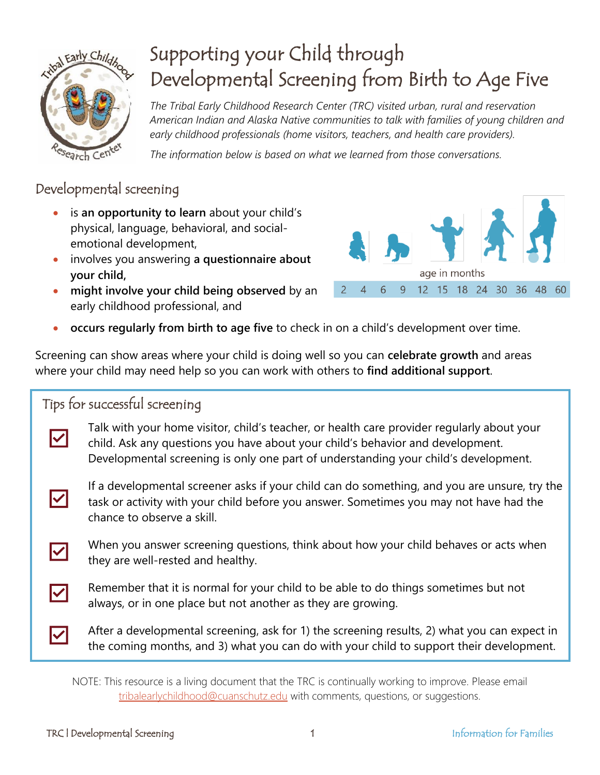

# Supporting your Child through Developmental Screening from Birth to Age Five

*The Tribal Early Childhood Research Center (TRC) visited urban, rural and reservation American Indian and Alaska Native communities to talk with families of young children and early childhood professionals (home visitors, teachers, and health care providers).* 

*The information below is based on what we learned from those conversations.*

### Developmental screening

- is **an opportunity to learn** about your child's physical, language, behavioral, and socialemotional development,
- involves you answering **a questionnaire about your child,**
- **might involve your child being observed** by an early childhood professional, and



• **occurs regularly from birth to age five** to check in on a child's development over time.

Screening can show areas where your child is doing well so you can **celebrate growth** and areas where your child may need help so you can work with others to **find additional support**.

### Tips for successful screening

Talk with your home visitor, child's teacher, or health care provider regularly about your child. Ask any questions you have about your child's behavior and development. Developmental screening is only one part of understanding your child's development.

 $\overline{\mathsf{v}}$ 

 $\overline{\blacktriangledown}$ 

 $\overline{\mathbf{v}}$ 

 $\overline{\mathbf{v}}$ 

If a developmental screener asks if your child can do something, and you are unsure, try the task or activity with your child before you answer. Sometimes you may not have had the chance to observe a skill.

When you answer screening questions, think about how your child behaves or acts when they are well-rested and healthy.

Remember that it is normal for your child to be able to do things sometimes but not always, or in one place but not another as they are growing.

After a developmental screening, ask for 1) the screening results, 2) what you can expect in the coming months, and 3) what you can do with your child to support their development.

NOTE: This resource is a living document that the TRC is continually working to improve. Please email [tribalearlychildhood@cuanschutz.edu](mailto:tribalearlychildhood@cuanschutz.edu?subject=Supporting%20your%20Child%20through%20Developmental%20Screening%20from%20Birth%20to%20Age%20Five) with comments, questions, or suggestions.